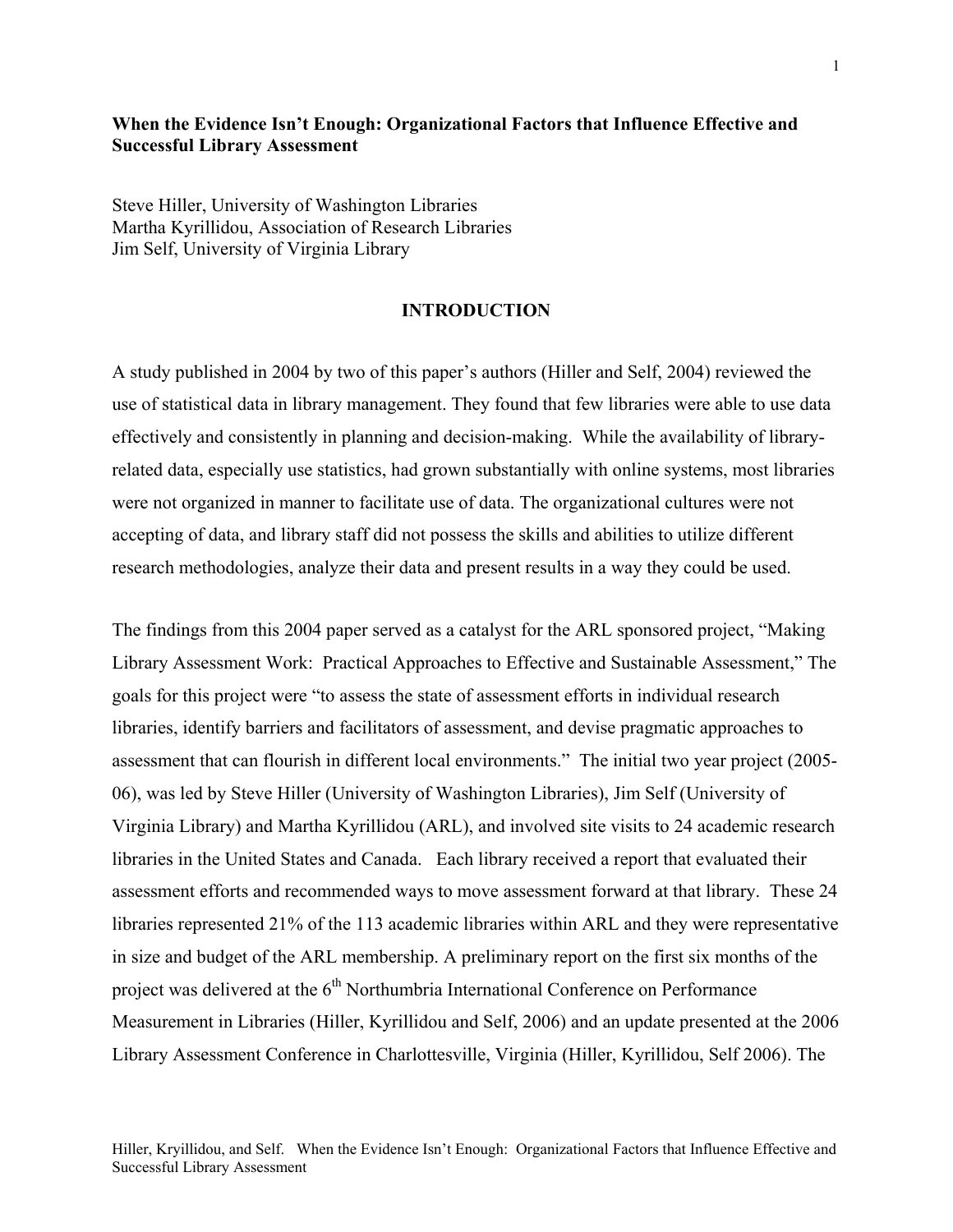# **When the Evidence Isn't Enough: Organizational Factors that Influence Effective and Successful Library Assessment**

Steve Hiller, University of Washington Libraries Martha Kyrillidou, Association of Research Libraries Jim Self, University of Virginia Library

# **INTRODUCTION**

A study published in 2004 by two of this paper's authors (Hiller and Self, 2004) reviewed the use of statistical data in library management. They found that few libraries were able to use data effectively and consistently in planning and decision-making. While the availability of libraryrelated data, especially use statistics, had grown substantially with online systems, most libraries were not organized in manner to facilitate use of data. The organizational cultures were not accepting of data, and library staff did not possess the skills and abilities to utilize different research methodologies, analyze their data and present results in a way they could be used.

The findings from this 2004 paper served as a catalyst for the ARL sponsored project, "Making Library Assessment Work: Practical Approaches to Effective and Sustainable Assessment," The goals for this project were "to assess the state of assessment efforts in individual research libraries, identify barriers and facilitators of assessment, and devise pragmatic approaches to assessment that can flourish in different local environments." The initial two year project (2005- 06), was led by Steve Hiller (University of Washington Libraries), Jim Self (University of Virginia Library) and Martha Kyrillidou (ARL), and involved site visits to 24 academic research libraries in the United States and Canada. Each library received a report that evaluated their assessment efforts and recommended ways to move assessment forward at that library. These 24 libraries represented 21% of the 113 academic libraries within ARL and they were representative in size and budget of the ARL membership. A preliminary report on the first six months of the project was delivered at the  $6<sup>th</sup>$  Northumbria International Conference on Performance Measurement in Libraries (Hiller, Kyrillidou and Self, 2006) and an update presented at the 2006 Library Assessment Conference in Charlottesville, Virginia (Hiller, Kyrillidou, Self 2006). The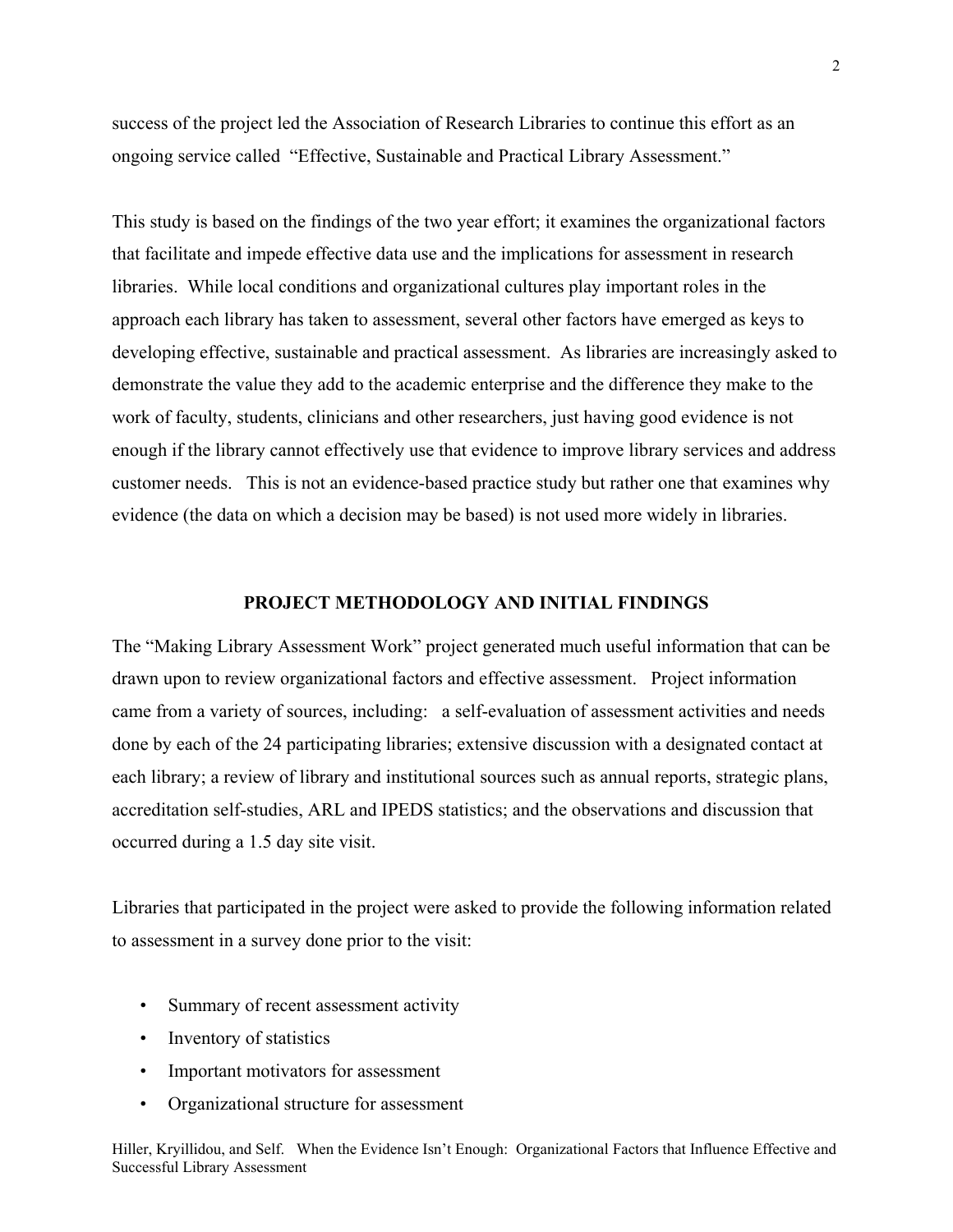success of the project led the Association of Research Libraries to continue this effort as an ongoing service called "Effective, Sustainable and Practical Library Assessment."

This study is based on the findings of the two year effort; it examines the organizational factors that facilitate and impede effective data use and the implications for assessment in research libraries. While local conditions and organizational cultures play important roles in the approach each library has taken to assessment, several other factors have emerged as keys to developing effective, sustainable and practical assessment. As libraries are increasingly asked to demonstrate the value they add to the academic enterprise and the difference they make to the work of faculty, students, clinicians and other researchers, just having good evidence is not enough if the library cannot effectively use that evidence to improve library services and address customer needs. This is not an evidence-based practice study but rather one that examines why evidence (the data on which a decision may be based) is not used more widely in libraries.

# **PROJECT METHODOLOGY AND INITIAL FINDINGS**

The "Making Library Assessment Work" project generated much useful information that can be drawn upon to review organizational factors and effective assessment. Project information came from a variety of sources, including: a self-evaluation of assessment activities and needs done by each of the 24 participating libraries; extensive discussion with a designated contact at each library; a review of library and institutional sources such as annual reports, strategic plans, accreditation self-studies, ARL and IPEDS statistics; and the observations and discussion that occurred during a 1.5 day site visit.

Libraries that participated in the project were asked to provide the following information related to assessment in a survey done prior to the visit:

- Summary of recent assessment activity
- Inventory of statistics
- Important motivators for assessment
- Organizational structure for assessment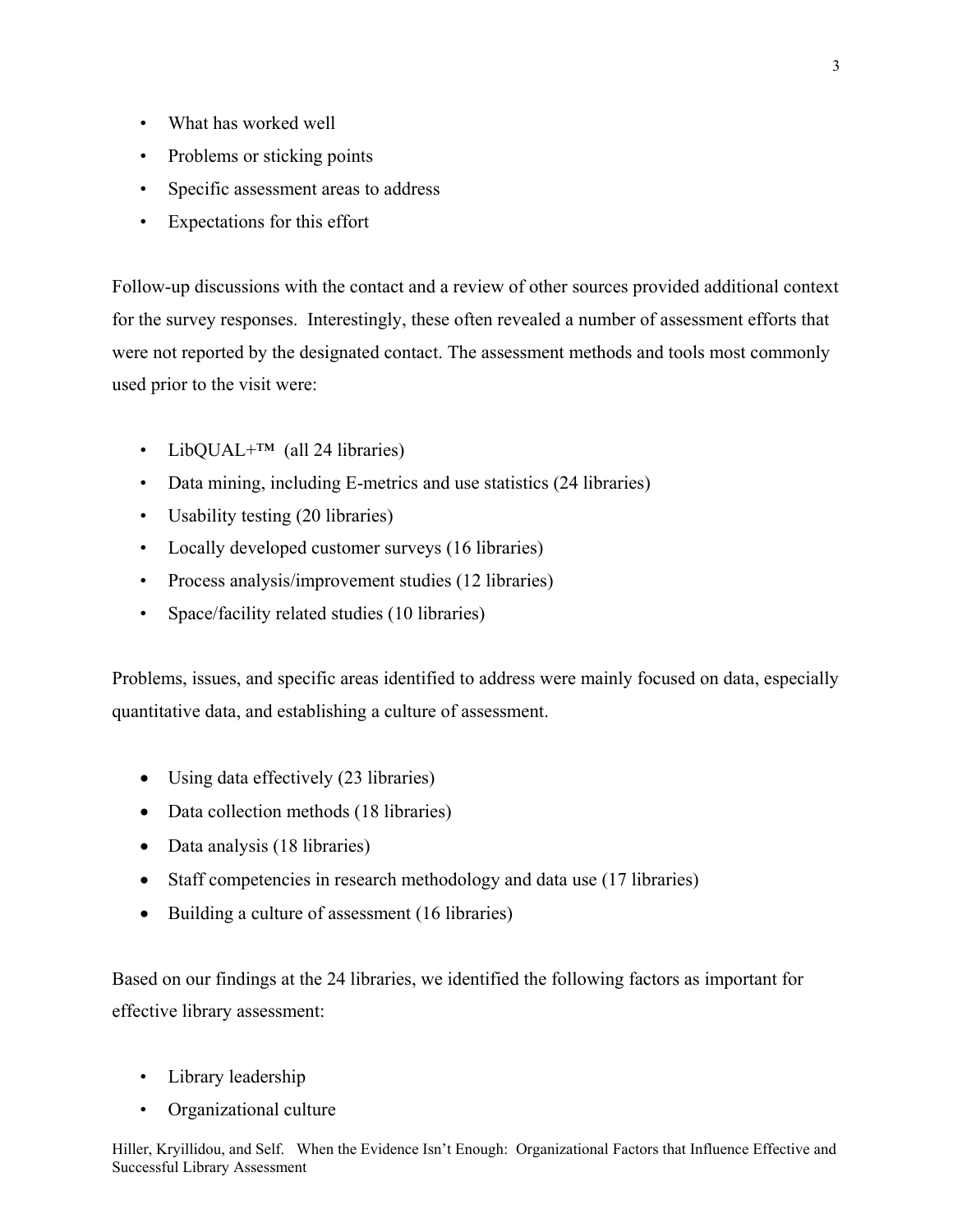- What has worked well
- Problems or sticking points
- Specific assessment areas to address
- Expectations for this effort

Follow-up discussions with the contact and a review of other sources provided additional context for the survey responses. Interestingly, these often revealed a number of assessment efforts that were not reported by the designated contact. The assessment methods and tools most commonly used prior to the visit were:

- LibQUAL+ $TM$  (all 24 libraries)
- Data mining, including E-metrics and use statistics (24 libraries)
- Usability testing (20 libraries)
- Locally developed customer surveys (16 libraries)
- Process analysis/improvement studies (12 libraries)
- Space/facility related studies (10 libraries)

Problems, issues, and specific areas identified to address were mainly focused on data, especially quantitative data, and establishing a culture of assessment.

- Using data effectively (23 libraries)
- Data collection methods (18 libraries)
- Data analysis (18 libraries)
- Staff competencies in research methodology and data use (17 libraries)
- Building a culture of assessment (16 libraries)

Based on our findings at the 24 libraries, we identified the following factors as important for effective library assessment:

- Library leadership
- Organizational culture

Hiller, Kryillidou, and Self. When the Evidence Isn't Enough: Organizational Factors that Influence Effective and Successful Library Assessment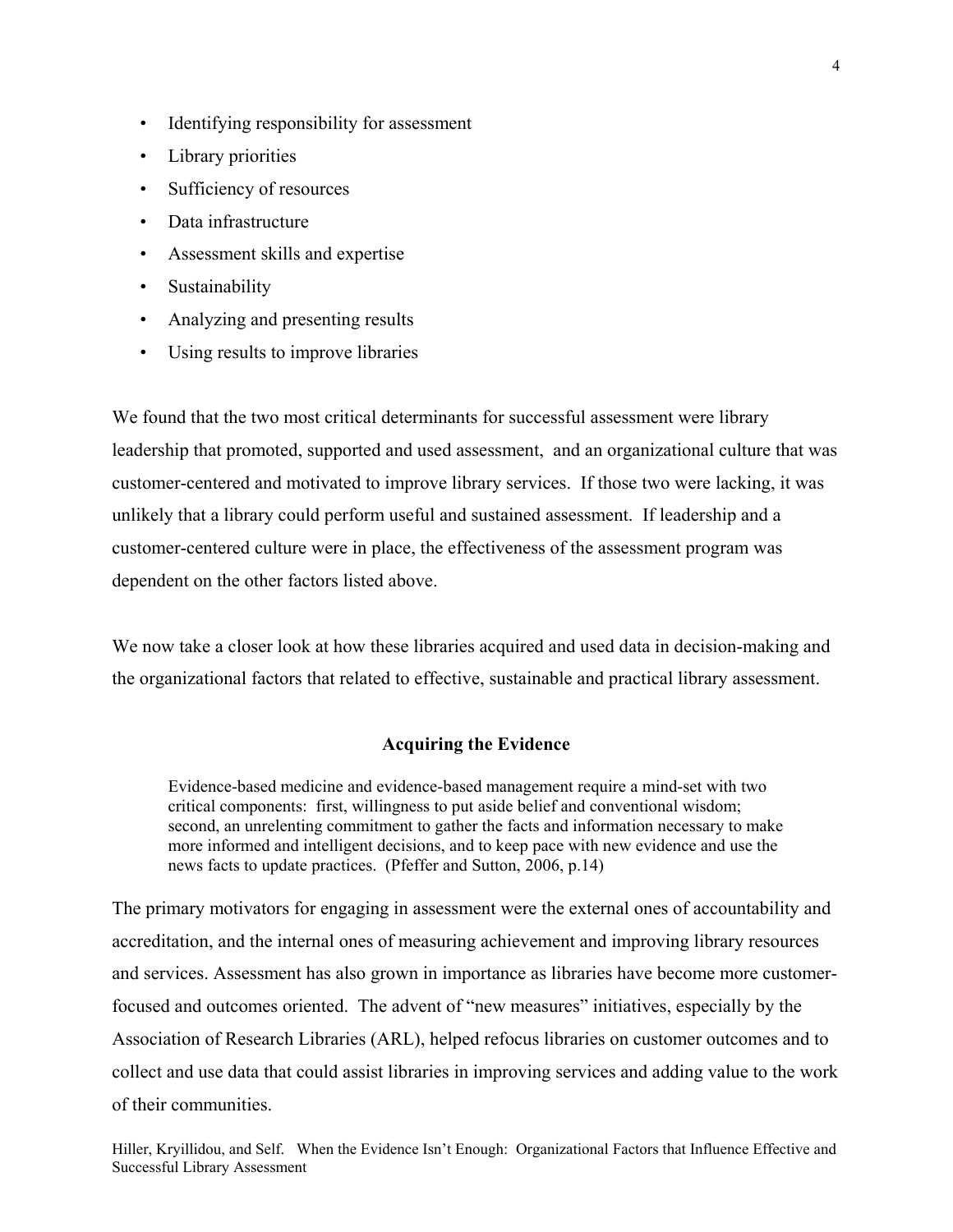- Identifying responsibility for assessment
- Library priorities
- Sufficiency of resources
- Data infrastructure
- Assessment skills and expertise
- Sustainability
- Analyzing and presenting results
- Using results to improve libraries

We found that the two most critical determinants for successful assessment were library leadership that promoted, supported and used assessment, and an organizational culture that was customer-centered and motivated to improve library services. If those two were lacking, it was unlikely that a library could perform useful and sustained assessment. If leadership and a customer-centered culture were in place, the effectiveness of the assessment program was dependent on the other factors listed above.

We now take a closer look at how these libraries acquired and used data in decision-making and the organizational factors that related to effective, sustainable and practical library assessment.

# **Acquiring the Evidence**

Evidence-based medicine and evidence-based management require a mind-set with two critical components: first, willingness to put aside belief and conventional wisdom; second, an unrelenting commitment to gather the facts and information necessary to make more informed and intelligent decisions, and to keep pace with new evidence and use the news facts to update practices. (Pfeffer and Sutton, 2006, p.14)

The primary motivators for engaging in assessment were the external ones of accountability and accreditation, and the internal ones of measuring achievement and improving library resources and services. Assessment has also grown in importance as libraries have become more customerfocused and outcomes oriented. The advent of "new measures" initiatives, especially by the Association of Research Libraries (ARL), helped refocus libraries on customer outcomes and to collect and use data that could assist libraries in improving services and adding value to the work of their communities.

Hiller, Kryillidou, and Self. When the Evidence Isn't Enough: Organizational Factors that Influence Effective and Successful Library Assessment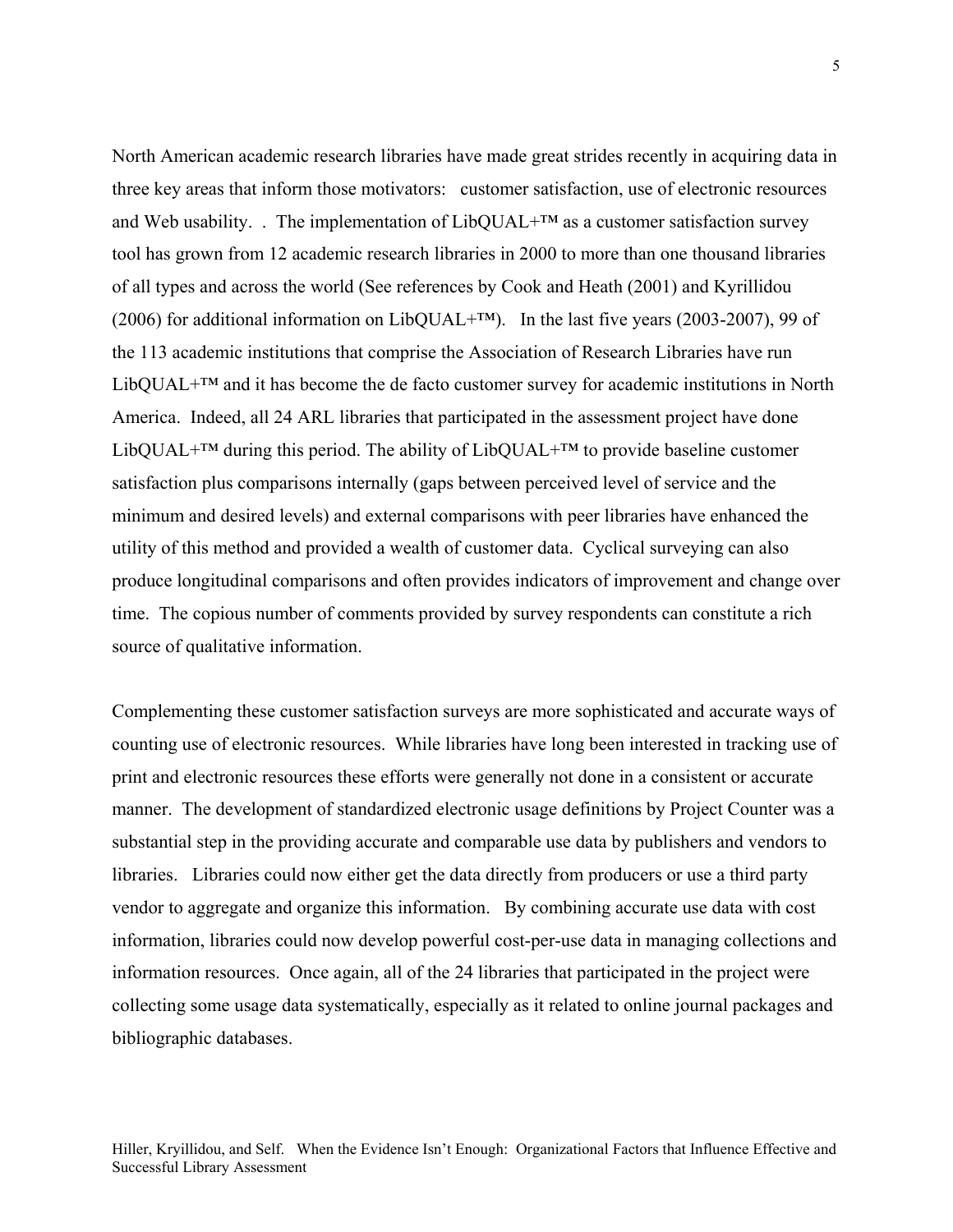North American academic research libraries have made great strides recently in acquiring data in three key areas that inform those motivators: customer satisfaction, use of electronic resources and Web usability. . The implementation of  $LibQUAL+TM$  as a customer satisfaction survey tool has grown from 12 academic research libraries in 2000 to more than one thousand libraries of all types and across the world (See references by Cook and Heath (2001) and Kyrillidou (2006) for additional information on LibQUAL+ $TM$ ). In the last five years (2003-2007), 99 of the 113 academic institutions that comprise the Association of Research Libraries have run LibQUAL+™ and it has become the de facto customer survey for academic institutions in North America. Indeed, all 24 ARL libraries that participated in the assessment project have done LibQUAL+<sup>TM</sup> during this period. The ability of LibQUAL+<sup>TM</sup> to provide baseline customer satisfaction plus comparisons internally (gaps between perceived level of service and the minimum and desired levels) and external comparisons with peer libraries have enhanced the utility of this method and provided a wealth of customer data. Cyclical surveying can also produce longitudinal comparisons and often provides indicators of improvement and change over time. The copious number of comments provided by survey respondents can constitute a rich source of qualitative information.

Complementing these customer satisfaction surveys are more sophisticated and accurate ways of counting use of electronic resources. While libraries have long been interested in tracking use of print and electronic resources these efforts were generally not done in a consistent or accurate manner. The development of standardized electronic usage definitions by Project Counter was a substantial step in the providing accurate and comparable use data by publishers and vendors to libraries. Libraries could now either get the data directly from producers or use a third party vendor to aggregate and organize this information. By combining accurate use data with cost information, libraries could now develop powerful cost-per-use data in managing collections and information resources. Once again, all of the 24 libraries that participated in the project were collecting some usage data systematically, especially as it related to online journal packages and bibliographic databases.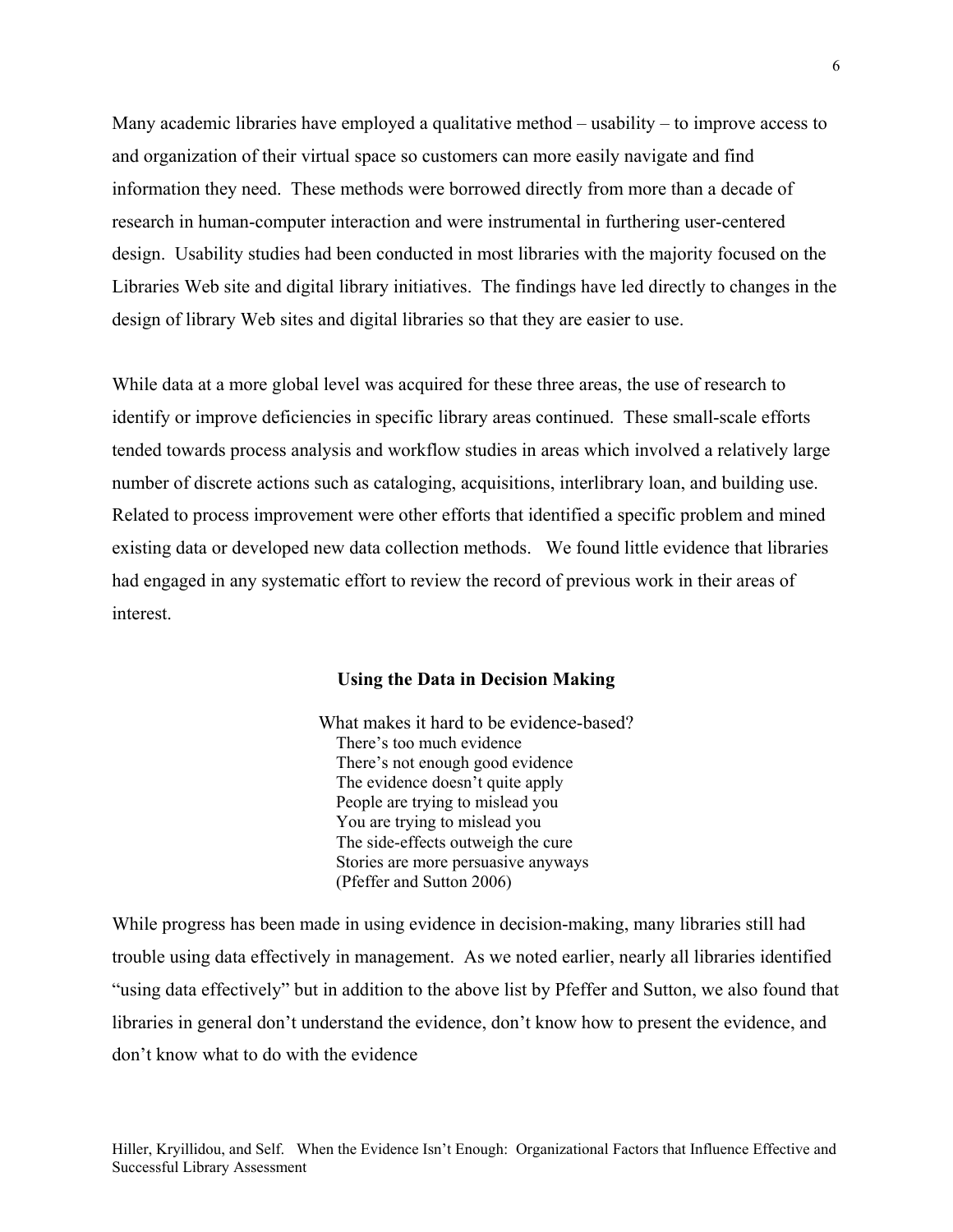Many academic libraries have employed a qualitative method – usability – to improve access to and organization of their virtual space so customers can more easily navigate and find information they need. These methods were borrowed directly from more than a decade of research in human-computer interaction and were instrumental in furthering user-centered design. Usability studies had been conducted in most libraries with the majority focused on the Libraries Web site and digital library initiatives. The findings have led directly to changes in the design of library Web sites and digital libraries so that they are easier to use.

While data at a more global level was acquired for these three areas, the use of research to identify or improve deficiencies in specific library areas continued. These small-scale efforts tended towards process analysis and workflow studies in areas which involved a relatively large number of discrete actions such as cataloging, acquisitions, interlibrary loan, and building use. Related to process improvement were other efforts that identified a specific problem and mined existing data or developed new data collection methods. We found little evidence that libraries had engaged in any systematic effort to review the record of previous work in their areas of interest.

### **Using the Data in Decision Making**

What makes it hard to be evidence-based? There's too much evidence There's not enough good evidence The evidence doesn't quite apply People are trying to mislead you You are trying to mislead you The side-effects outweigh the cure Stories are more persuasive anyways (Pfeffer and Sutton 2006)

While progress has been made in using evidence in decision-making, many libraries still had trouble using data effectively in management. As we noted earlier, nearly all libraries identified "using data effectively" but in addition to the above list by Pfeffer and Sutton, we also found that libraries in general don't understand the evidence, don't know how to present the evidence, and don't know what to do with the evidence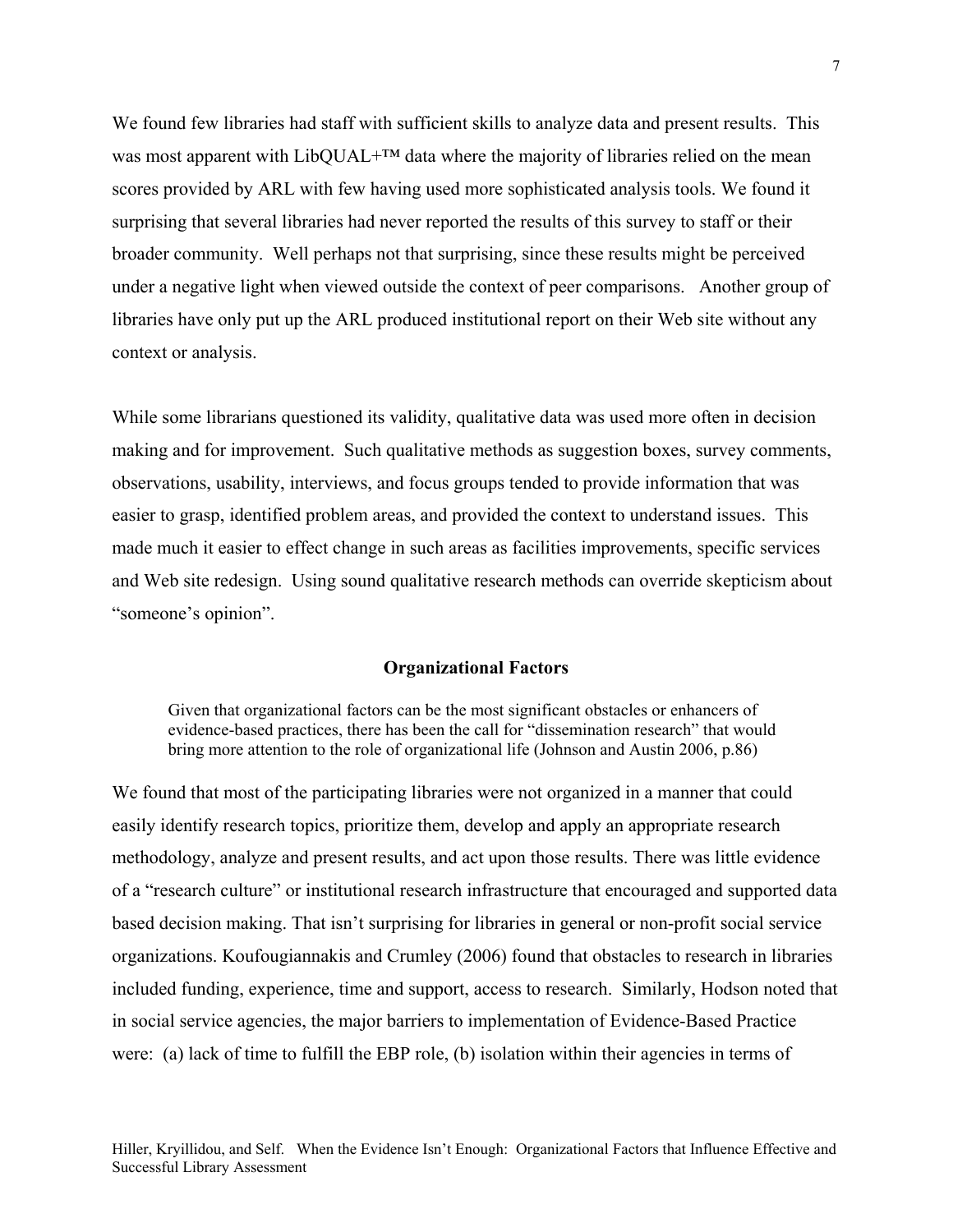We found few libraries had staff with sufficient skills to analyze data and present results. This was most apparent with LibQUAL $+^{TM}$  data where the majority of libraries relied on the mean scores provided by ARL with few having used more sophisticated analysis tools. We found it surprising that several libraries had never reported the results of this survey to staff or their broader community. Well perhaps not that surprising, since these results might be perceived under a negative light when viewed outside the context of peer comparisons. Another group of libraries have only put up the ARL produced institutional report on their Web site without any context or analysis.

While some librarians questioned its validity, qualitative data was used more often in decision making and for improvement. Such qualitative methods as suggestion boxes, survey comments, observations, usability, interviews, and focus groups tended to provide information that was easier to grasp, identified problem areas, and provided the context to understand issues. This made much it easier to effect change in such areas as facilities improvements, specific services and Web site redesign. Using sound qualitative research methods can override skepticism about "someone's opinion".

#### **Organizational Factors**

Given that organizational factors can be the most significant obstacles or enhancers of evidence-based practices, there has been the call for "dissemination research" that would bring more attention to the role of organizational life (Johnson and Austin 2006, p.86)

We found that most of the participating libraries were not organized in a manner that could easily identify research topics, prioritize them, develop and apply an appropriate research methodology, analyze and present results, and act upon those results. There was little evidence of a "research culture" or institutional research infrastructure that encouraged and supported data based decision making. That isn't surprising for libraries in general or non-profit social service organizations. Koufougiannakis and Crumley (2006) found that obstacles to research in libraries included funding, experience, time and support, access to research. Similarly, Hodson noted that in social service agencies, the major barriers to implementation of Evidence-Based Practice were: (a) lack of time to fulfill the EBP role, (b) isolation within their agencies in terms of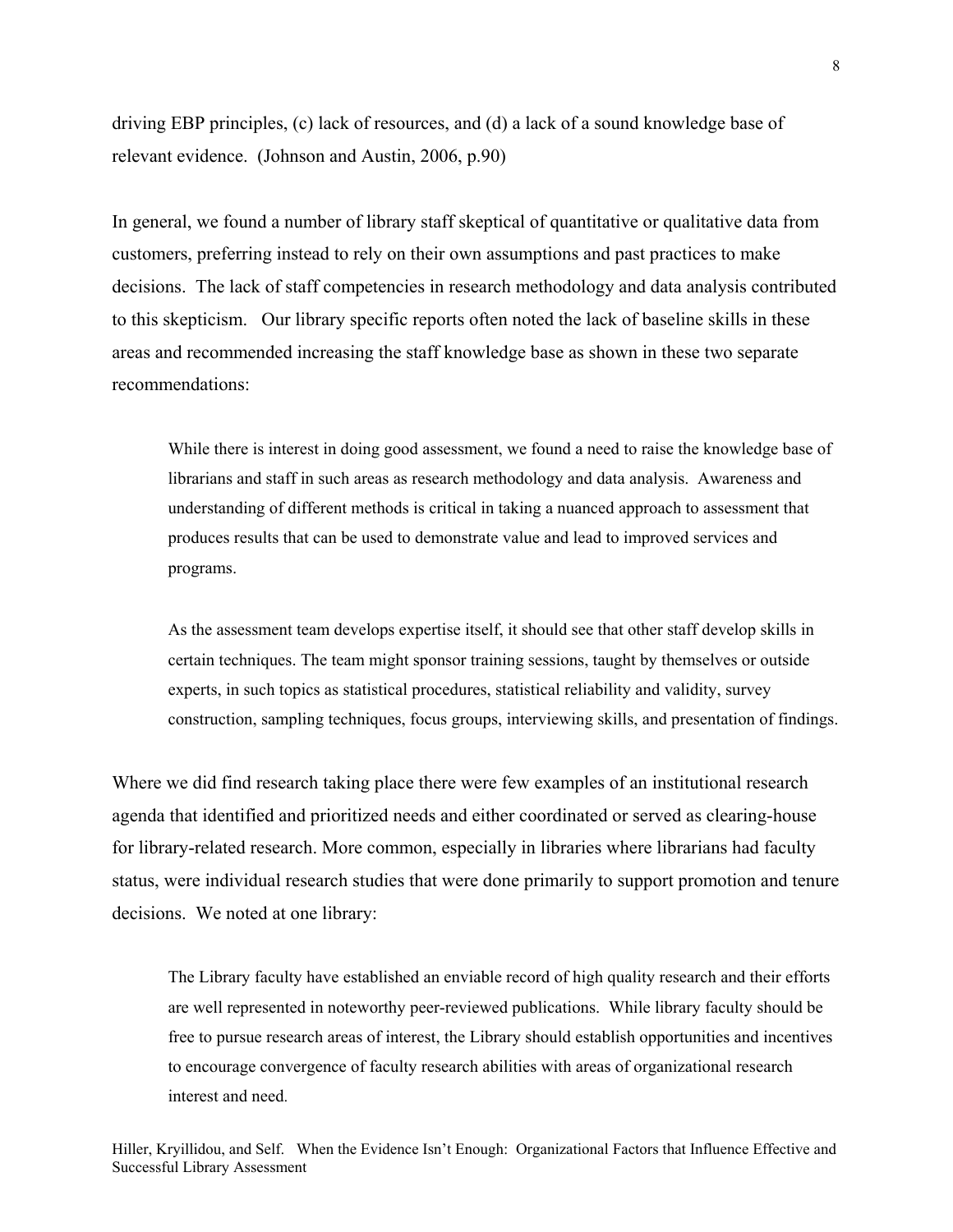driving EBP principles, (c) lack of resources, and (d) a lack of a sound knowledge base of relevant evidence. (Johnson and Austin, 2006, p.90)

In general, we found a number of library staff skeptical of quantitative or qualitative data from customers, preferring instead to rely on their own assumptions and past practices to make decisions. The lack of staff competencies in research methodology and data analysis contributed to this skepticism. Our library specific reports often noted the lack of baseline skills in these areas and recommended increasing the staff knowledge base as shown in these two separate recommendations:

While there is interest in doing good assessment, we found a need to raise the knowledge base of librarians and staff in such areas as research methodology and data analysis. Awareness and understanding of different methods is critical in taking a nuanced approach to assessment that produces results that can be used to demonstrate value and lead to improved services and programs.

As the assessment team develops expertise itself, it should see that other staff develop skills in certain techniques. The team might sponsor training sessions, taught by themselves or outside experts, in such topics as statistical procedures, statistical reliability and validity, survey construction, sampling techniques, focus groups, interviewing skills, and presentation of findings.

Where we did find research taking place there were few examples of an institutional research agenda that identified and prioritized needs and either coordinated or served as clearing-house for library-related research. More common, especially in libraries where librarians had faculty status, were individual research studies that were done primarily to support promotion and tenure decisions. We noted at one library:

The Library faculty have established an enviable record of high quality research and their efforts are well represented in noteworthy peer-reviewed publications. While library faculty should be free to pursue research areas of interest, the Library should establish opportunities and incentives to encourage convergence of faculty research abilities with areas of organizational research interest and need.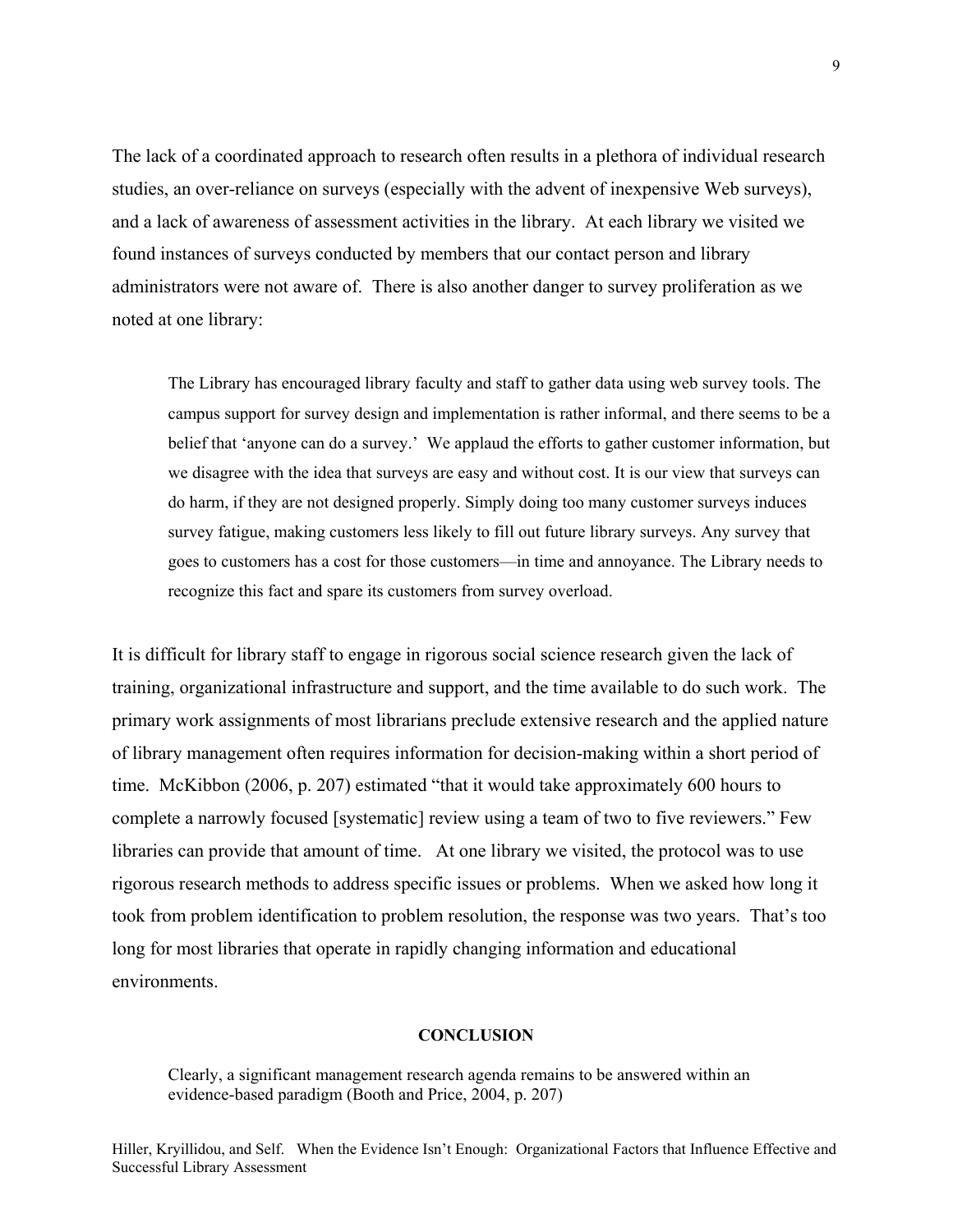The lack of a coordinated approach to research often results in a plethora of individual research studies, an over-reliance on surveys (especially with the advent of inexpensive Web surveys), and a lack of awareness of assessment activities in the library. At each library we visited we found instances of surveys conducted by members that our contact person and library administrators were not aware of. There is also another danger to survey proliferation as we noted at one library:

The Library has encouraged library faculty and staff to gather data using web survey tools. The campus support for survey design and implementation is rather informal, and there seems to be a belief that 'anyone can do a survey.' We applaud the efforts to gather customer information, but we disagree with the idea that surveys are easy and without cost. It is our view that surveys can do harm, if they are not designed properly. Simply doing too many customer surveys induces survey fatigue, making customers less likely to fill out future library surveys. Any survey that goes to customers has a cost for those customers—in time and annoyance. The Library needs to recognize this fact and spare its customers from survey overload.

It is difficult for library staff to engage in rigorous social science research given the lack of training, organizational infrastructure and support, and the time available to do such work. The primary work assignments of most librarians preclude extensive research and the applied nature of library management often requires information for decision-making within a short period of time. McKibbon (2006, p. 207) estimated "that it would take approximately 600 hours to complete a narrowly focused [systematic] review using a team of two to five reviewers." Few libraries can provide that amount of time. At one library we visited, the protocol was to use rigorous research methods to address specific issues or problems. When we asked how long it took from problem identification to problem resolution, the response was two years. That's too long for most libraries that operate in rapidly changing information and educational environments.

#### **CONCLUSION**

Clearly, a significant management research agenda remains to be answered within an evidence-based paradigm (Booth and Price, 2004, p. 207)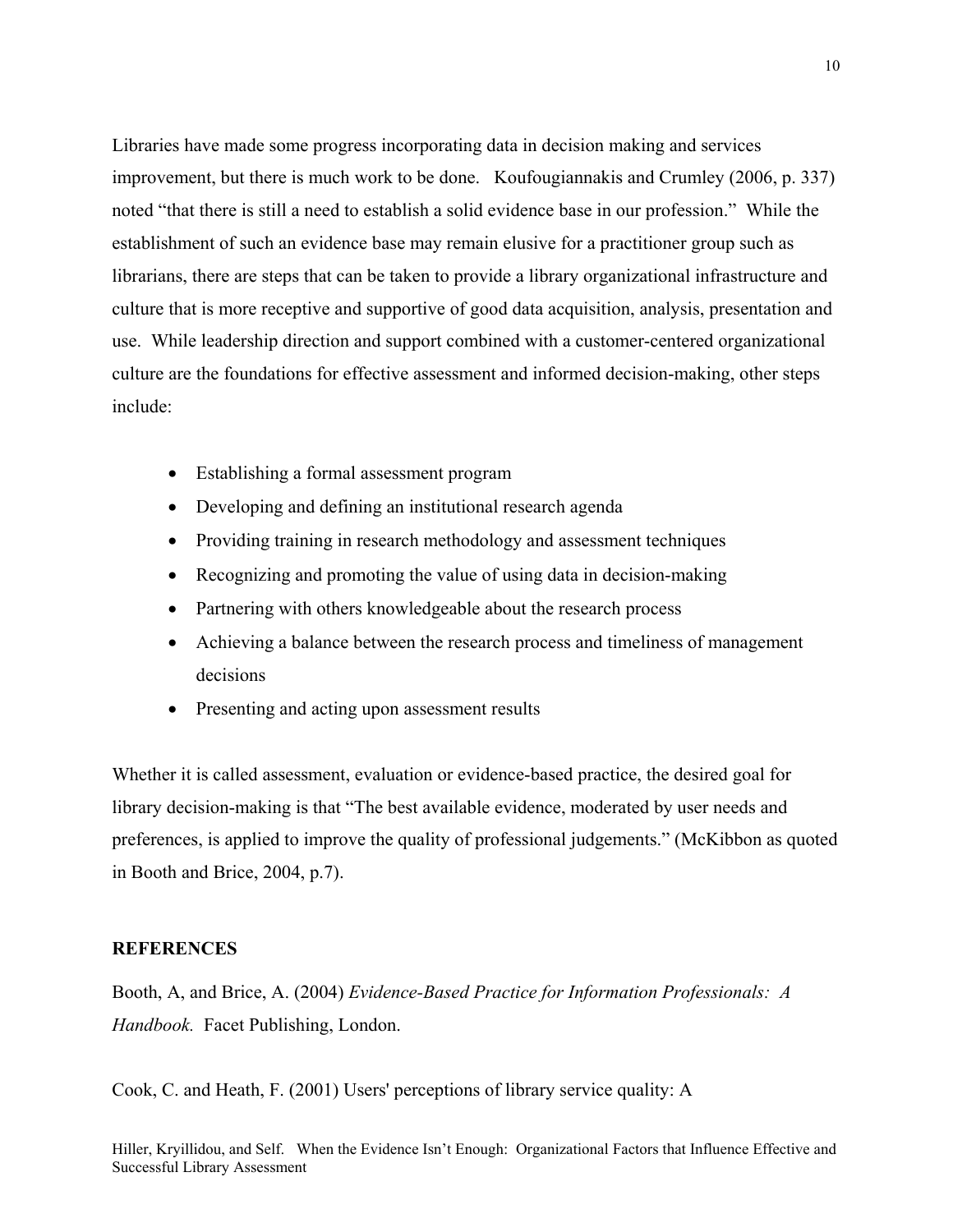Libraries have made some progress incorporating data in decision making and services improvement, but there is much work to be done. Koufougiannakis and Crumley (2006, p. 337) noted "that there is still a need to establish a solid evidence base in our profession." While the establishment of such an evidence base may remain elusive for a practitioner group such as librarians, there are steps that can be taken to provide a library organizational infrastructure and culture that is more receptive and supportive of good data acquisition, analysis, presentation and use. While leadership direction and support combined with a customer-centered organizational culture are the foundations for effective assessment and informed decision-making, other steps include:

- Establishing a formal assessment program
- Developing and defining an institutional research agenda
- Providing training in research methodology and assessment techniques
- Recognizing and promoting the value of using data in decision-making
- Partnering with others knowledgeable about the research process
- Achieving a balance between the research process and timeliness of management decisions
- Presenting and acting upon assessment results

Whether it is called assessment, evaluation or evidence-based practice, the desired goal for library decision-making is that "The best available evidence, moderated by user needs and preferences, is applied to improve the quality of professional judgements." (McKibbon as quoted in Booth and Brice, 2004, p.7).

### **REFERENCES**

Booth, A, and Brice, A. (2004) *Evidence-Based Practice for Information Professionals: A Handbook.* Facet Publishing, London.

Cook, C. and Heath, F. (2001) Users' perceptions of library service quality: A